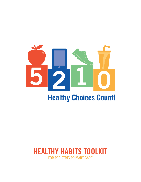

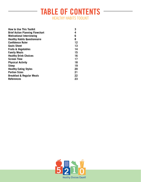# **TABLE OF CONTENTS** HEALTHY HABITS TOOLKIT

| <b>How to Use This Toolkit</b>         | 3  |
|----------------------------------------|----|
| <b>Brief Action Planning Flowchart</b> | 4  |
| <b>Motivational Interviewing</b>       | 6  |
| <b>Healthy Habits Questionnaire</b>    | 8  |
| <b>Confidence Ruler</b>                | 12 |
| <b>Goals Sheet</b>                     | 13 |
| <b>Fruits &amp; Vegetables</b>         | 14 |
| <b>Family Meals</b>                    | 15 |
| <b>Healthy Drink Choices</b>           | 16 |
| <b>Screen Time</b>                     | 17 |
| <b>Physical Activity</b>               | 18 |
| <b>Sleep</b>                           | 19 |
| <b>Healthy Eating Styles</b>           | 20 |
| <b>Portion Sizes</b>                   | 21 |
| <b>Breakfast &amp; Regular Meals</b>   | 22 |
| <b>References</b>                      | 23 |

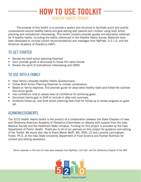# **HOW TO USE TOOLKIT** HEALTHY HABITS TOOLKIT

The purpose of this toolkit is to provide a system and structure to facilitate quick and quality conversations around healthy habits and goal-setting with parents and children using brief action planning and motivational interviewing. This toolkit contains provider guides and education materials for 9 healthy habits, including the habits referenced in the Healthy Habits Survey. Materials have been developed to include current recommendations and messages from MyPlate, 5-2-1-0, and the American Academy of Pediatrics (AAP).

#### TO GET STARTED

- Review the brief action planning flowchart
- Each provider guide is structured to follow this same format
- Review the spirit of motivational interviewing and OARS

### TO USE WITH A FAMILY

- Have family complete Healthy Habits Questionnaire.
- Follow Brief Action Planning flowchart to initiate conversation.
- Based on family response, find provider guide for associated healthy habit and follow the outlined discussion guide.
- Use confidence ruler to assess level of confidence for achieving goals.
- Document family goal in EHR to include in after-visit summary.
- Schedule follow-up: Use brief action planning flow-chart for follow-up to review progress on goals set.

#### ACKNOWLEDGMENTS

The 5210 Health Habits toolkit is the product of a collaboration between the State Chapters of Iowa and Oklahoma American Academy of Pediatrics Committees on Obesity with support from the Iowa Medical Society and the Healthiest State Initiative. Funding for this project is provided by the Iowa Department of Public Health. Thank you to all of our partners on this project for guidance and editing of the Toolkit. We would also like to thank Maren Wolff, MS, RDN, LD and Lorraine Lanningham-Foster, Ph.D. at the Iowa State University Department of Food Science and Human Nutrition for content and editing assistance.

Some materials in this tool kit have been adapted from MyPlate, Let's Go!, and the Oklahoma Chapter of the AAP.

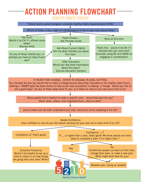## **ACTION PLANNING FLOWCHART** HEALTHY HABITS TOOLKIT



**Healthy Choices Count!**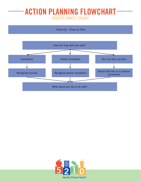# **ACTION PLANNING FLOWCHART** HEALTHY HABITS TOOLKIT



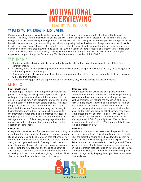# **MOTIVATIONAL INTERVIEWING** HEALTHY HABITS TOOLKIT

#### WHAT IS MOTIVATIONAL INTERVIEWING?

Motivational interviewing is a collaborative, goal-oriented method of communication with attention to the language of change. It is a way to build motivation to change behavior without using coercion or pressure. At the core of MI is the recognition of the patient being in charge of his or her behavior and the consequences, be they positive or negative, of that behavior. When using MI, you are assisting the patient in exploring their ambivalence to change and using specific skills to help them move toward change that is initiated by the patient. This is done by guiding the patient to explore behavior change in a safe setting that allows them to build their own motivation to change. Motivational Interviewing is more than a set of counseling skills; it is also a way of being with the patient in a way that allows you to experience and express empathy and support the patient's autonomy. This is often referred to as the "Spirit of MI."

#### WHY TRY MI?

- Studies show that allowing patients the opportunity to advocate for their own change is predictive of their future behavior change.
- Conversely, if we force or pressure people to make a decision about change, or if we tell them they must change, they will often argue for the status quo.
- Once a patient verbalizes an argument for change (or an argument for status quo), we can predict that their behavior will follow that argument.
- Therefore, allowing patients the opportunity to talk about why they want to change has proven benefits.

#### MI TOOLS

#### **Elicit-Provide-Elicit**

This technique is helpful in learning more about what the patient is thinking and feeling about a particular subject while providing some education or information about it in a non-threatening way. When providing information, always ask permission from the patient before sharing. This allows the patient to have a choice in whether or not he or she hears the information. Some patients may not be ready to hear information and will not have a positive reaction to the information. After providing the information, check in with your patient again to see what his or her thoughts and feelings are about it. This allows you to gauge where the patient is at with that information and move them in the direction of change talk.

#### **Change talk**

Change talk is what we hear from patients who are starting to move toward setting a goal for changing a particular behavior. By using a few tools and skills, we can help patients move in the direction of change and become more confident in their ability to set a goal and meet it. One way to help patients along the path of change is to ask them to provide pros and cons for both the new behavior and the existing behavior. The patient is generating this list and therefore feels more ownership of it than if the provider is giving it to them. They start to develop their own list of reasons to change.

#### **Readiness Ruler**

Another tool you can use is a ruler to gauge where the patient is at with their commitment to the change. You may ask a patient how important making a change is as well as their confidence in making the change using a ruler. Research has shown that the higher a patient rates his or her confidence, the more likely he or she is to meet their behavior change goal. Along with asking about where they are at on the ruler, you can also ask about why they chose that number and not one that is high or lower as well as what it would take to move that number higher. Instead of using the word "why," you might say "What made you choose a 7 instead of a 6?" or "What would it take to make this an 8 instead of a 7?"

#### **Reflections**

A reflection is a way to re-phrase what the patient has said and say it back to them. This allows the provider to clarify what the patient is saying as well as allows the patient to hear back what they are saying and further explore the topic. Reflections can be content-related or feeling-related. There are several types of reflections that can be used depending on the information that patient is giving you and the feelings the patient is expressing. Reflections help move the patient toward change talk by helping them "get clear" about what they really want.

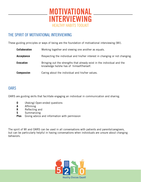

#### THE SPIRIT OF MOTIVATIONAL INTERVIEWING

These guiding principles or ways of being are the foundation of motivational interviewing (MI).

| <b>Collaboration</b> | Working together and viewing one another as equals.                                                                 |
|----------------------|---------------------------------------------------------------------------------------------------------------------|
| Acceptance           | Respecting the individual and his/her interest in changing or not changing.                                         |
| Evocation            | Bringing out the strengths that already exist in the individual and the<br>knowledge he/she has of himself/herself. |
| <b>Compassion</b>    | Caring about the individual and his/her values.                                                                     |

## **OARS**

OARS are guiding skills that facilitate engaging an individual in communication and sharing.

- **0** (Asking) Open-ended questions
- **A** Affirming
- **R** Reflecting and
- **S** Summarizing
- **Plus** Giving advice and information with permission

The spirit of MI and OARS can be used in all conversations with patients and parents/caregivers, but can be particularly helpful in having conversations when individuals are unsure about changing behaviors.

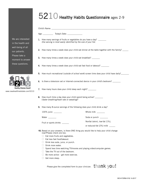# 5210 Healthy Habits Questionnaire ages 2-9

| We are interested<br>in the health and                            | One serving is most easily identified by the size of your fist.                                                         | 1. How many servings of fruits or vegetables do you have a day? _______                   |  |  |  |  |
|-------------------------------------------------------------------|-------------------------------------------------------------------------------------------------------------------------|-------------------------------------------------------------------------------------------|--|--|--|--|
| well-being of all<br>our patients.                                | 2. How many times a week does your child eat dinner at the table together with the family?                              |                                                                                           |  |  |  |  |
| Please take a<br>moment to answer                                 | 3. How many times a week does your child eat breakfast? _______                                                         |                                                                                           |  |  |  |  |
| these questions.                                                  | 4. How many times a week does your child eat fast food or takeout? _______                                              |                                                                                           |  |  |  |  |
|                                                                   |                                                                                                                         | 5. How much recreational (outside of school work) screen time does your child have daily? |  |  |  |  |
|                                                                   |                                                                                                                         | 6. Is there a television set or Internet-connected device in your child's bedroom?        |  |  |  |  |
| <b>Healthy Choices Count!</b><br>www.iowahealthieststate.com/5210 | 7. How many hours does your child sleep each night? ________                                                            |                                                                                           |  |  |  |  |
|                                                                   | 8. How much time a day does your child spend being active? _______<br>(faster breathing/heart rate or sweating)?        |                                                                                           |  |  |  |  |
|                                                                   |                                                                                                                         | 9. How many 8-ounce servings of the following does your child drink a day?                |  |  |  |  |
|                                                                   | 100% juice _______                                                                                                      | Whole milk $\frac{1}{2}$                                                                  |  |  |  |  |
|                                                                   | Water                                                                                                                   | Soda or punch _______                                                                     |  |  |  |  |
|                                                                   | Fruit or sports drinks _______                                                                                          | Nonfat (skim), low-fat (1%),                                                              |  |  |  |  |
|                                                                   |                                                                                                                         | or reduced-fat (2%) milk                                                                  |  |  |  |  |
|                                                                   | now?Please check one box.                                                                                               | 10. Based on your answers, is there ONE thing you would like to help your child change    |  |  |  |  |
|                                                                   | Eat more fruits and vegetables.                                                                                         |                                                                                           |  |  |  |  |
|                                                                   | Eat less fast food/takeout.                                                                                             |                                                                                           |  |  |  |  |
|                                                                   | Drink less soda, juice, or punch.                                                                                       |                                                                                           |  |  |  |  |
|                                                                   | Drink more water.                                                                                                       |                                                                                           |  |  |  |  |
|                                                                   | Spend less time watching TV/movies and playing video/computer games.<br>Take the TV out of the bedroom.<br>$\mathbf{L}$ |                                                                                           |  |  |  |  |
|                                                                   | Be more active $-$ get more exercise.                                                                                   |                                                                                           |  |  |  |  |
|                                                                   | Get more sleep.                                                                                                         |                                                                                           |  |  |  |  |

Please give the completed form to your clinician.  $\tanh$  you!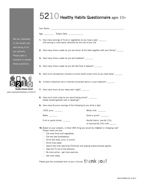# 5210 Healthy Habits Questionnaire ages 10+

|                   |                                                                                         |                                                                                                                                                                               | Your Name: The contract of the contract of the contract of the contract of the contract of the contract of the                                                |
|-------------------|-----------------------------------------------------------------------------------------|-------------------------------------------------------------------------------------------------------------------------------------------------------------------------------|---------------------------------------------------------------------------------------------------------------------------------------------------------------|
|                   |                                                                                         |                                                                                                                                                                               |                                                                                                                                                               |
|                   |                                                                                         | One serving is most easily identified by the size of your fist                                                                                                                | 1. How many servings of fruits or vegetables do you have a day? _______                                                                                       |
|                   |                                                                                         |                                                                                                                                                                               | 2. How many times a week do you eat dinner at the table together with your family?                                                                            |
| wer               |                                                                                         | <b>3.</b> How many times a week do you eat breakfast? ________                                                                                                                |                                                                                                                                                               |
|                   |                                                                                         |                                                                                                                                                                               | 4. How many times a week do you eat fast food or takeout? _______                                                                                             |
|                   |                                                                                         |                                                                                                                                                                               | 5. How much recreational (outside of school work) screen time do you have daily? _______                                                                      |
|                   |                                                                                         |                                                                                                                                                                               | 6. Is there a television set or Internet-connected device in your bedroom?                                                                                    |
| Count!<br>om/5210 |                                                                                         | 7. How many hours do you sleep each night? ________                                                                                                                           |                                                                                                                                                               |
|                   |                                                                                         | 8. How much time a day do you spend being active? _______<br>(faster breathing/heart rate or sweating)?                                                                       |                                                                                                                                                               |
|                   |                                                                                         |                                                                                                                                                                               | 9. How many 8-ounce servings of the following do you drink a day?                                                                                             |
|                   | 100% juice _______                                                                      |                                                                                                                                                                               | Whole milk _______                                                                                                                                            |
|                   | Water                                                                                   |                                                                                                                                                                               | Soda or punch _______                                                                                                                                         |
|                   |                                                                                         | Fruit or sports drinks _____                                                                                                                                                  | Nonfat (skim), low-fat (1%),<br>or reduced-fat (2%) milk                                                                                                      |
|                   | Please check one box.<br>$\mathbf{L}$<br>Drink more water.<br>$\Box$<br>Get more sleep. | Eat more fruits and vegetables.<br>Eat less fast food/takeout.<br>Drink less soda, juice, or punch.<br>Take the TV out of the bedroom.<br>Be more active - get more exercise. | 10. Based on your answers, is there ONE thing you would be intersted in changing now?<br>Spend less time watching TV/movies and playing video/computer games. |

We are interest in the health and well-being of a our patients. Please take a moment to ans these questions.



Please give the completed form to your clinician.  $t$   $hamk$  you!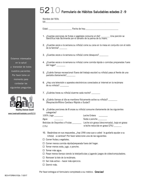# $5210$  Formulario de Hábitos Saludables edades 2 -9

Nombre del Niño

 $(a)$ :

- Edad: example Fecha de hoy:
- 1. ¿Cuantas porciones de frutas o vegetales consume al día? \_\_\_\_\_\_\_\_ Una porción se identifica más fácilmente por el tamaño de la palma de tu mano.
- 2. ¿Cuantas veces a la semana su niño(a) come su cena en la mesa en conjunto con el resto de la familia? \_\_\_\_\_\_\_
- 3. ¿Cuantas veces a la semana su niño(a) come desayuno? \_\_\_\_\_\_\_\_
- 4. ¿Cuantas veces a la semana su niño(a) come comida rápida o comidas preparadas fuera del hogar? \_\_\_\_\_\_\_\_
- 5. ¿Cuánto tiempo recreacional (fuera del trabajo escolar) su niño(a) pasa al frente de una pantalla diariamente?\_\_\_\_\_\_\_\_
- 6. ¿Hay una televisión o aparatos electrónicos conectados al Internet en la recámara de su niño(a)? \_\_\_\_\_\_\_\_
- 7. ¿Cuántas horas su niño(a) duerme cada noche?
- 8. ¿Cuánto tiempo al día se mantiene físicamente activo su niño(a)? \_\_\_\_\_\_\_ (Respiración/Ritmo Cardiaco Rápido o Sudar)?
- 9. ¿Cuántas porciones de 8 onzas su niño(a) consume diariamente de las siguientes categorías?

| $100\%$ Jugo ________        | Leche Entera                                |
|------------------------------|---------------------------------------------|
| Agua                         | Soda o ponche _______                       |
| Bebidas de Deportes o Frutas | Leche sin grasa (descremada), baja en grasa |
| (1%)                         | o leche reducida en grasa (2%) _______      |

- 10. Basándose en sus respuestas, ¿hay UNA cosa que a usted le gustaría ayudar a su niño(a) a cambiar? Por favor seleccione una de las siguientes:
- $\square$  Comer frutas y vegetales.
- $\Box$  Comer menos comida rápida/preparada fuera del hogar.
- $\Box$  Tomar menos soda, jugo, o ponche.
- $\square$  Tomar más agua.
- $\square$  Pasar menos tiempo viendo la tele/películas y jugando juegos de video/computadora.
- $\Box$  Remover la tele de la recámara.
- $\Box$  Ser más activo hacer más ejercicio.
- □ Dormir más

Por favor entregue el formulario completado a su médico. Gracias!

Estamos interesados en la salud y bienestar de todos nuestros pacientes. Por favor tome un momento para contestar las siguientes preguntas.



**Healthy Choices Count!** www.iowahealthieststate.com/5210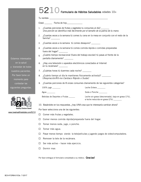# 5210 Formulario de Hábitos Saludables edades 10+

|    | Edad: Fecha de hoy: _____________                                                                                  |                                                                                             |
|----|--------------------------------------------------------------------------------------------------------------------|---------------------------------------------------------------------------------------------|
| 1. | ¿Cuantas porciones de frutas y vegetales tu consumes al día?                                                       | Una porción se identifica más fácilmente por el tamaño de la palma de tu mano.              |
| 2. | familia?                                                                                                           | ¿Cuantas veces a la semana tú comes tu cena en la mesa en conjunto con el resto de la       |
| 3. | ¿Cuantas veces a la semana tú comes desayuno? _______                                                              |                                                                                             |
| 4. | fuera del hogar? ________                                                                                          | ¿Cuantas veces a la semana tú comes comida rápida o comidas preparadas                      |
| 5. | pantalla diariamente? _______                                                                                      | ¿Cuánto tiempo recreacional (fuera del trabajo escolar) tú pasas al frente de la            |
| 6. | ¿Hay una televisión o aparatos electrónicos conectados al Internet<br>en tu recámara? _______                      |                                                                                             |
| 7. | ¿Cuántas horas tú duermes cada noche?                                                                              |                                                                                             |
| 8. | ¿Cuánto tiempo al día te mantienes físicamente activo(a)? ________<br>(Respiración/Rit-mo Cardiaco Rápido o Sudar) |                                                                                             |
| 9. |                                                                                                                    | ¿Cuantas porciones de 8 onzas consumes diariamente de las siguientes categorías?            |
|    |                                                                                                                    | Leche Entera _______                                                                        |
|    | Agua ________                                                                                                      | Soda o Ponche                                                                               |
|    | Bebidas de Deportes o Frutas _____                                                                                 | Leche sin grasa (descremada), baja en grasa (1%),<br>o leche reducida en grasa (2%) _______ |

10. Basándote en tus respuestas, ¿hay UNA cosa que te interesaría cambiar ahora?

Por favor selecciona una de las siguientes:

- $\square$  Comer más frutas y vegetales.
- □ Comer menos comida rápida/preparada fuera del hogar.
- $\Box$  Tomar menos soda, jugo, o ponche.
- $\square$  Tomar más agua.
- $\Box$  Pasar menos tiempo viendo la tele/películas y jugando juegos de video/computadora.
- $\Box$  Remover la tele de la recámara.
- $\Box$  Ser más activo hacer más ejercicio.
- $\square$  Dormir mas

Por favor entregue el formulario completado a su médico. Gracias!

Estamos interesados en la salud y bienestar de todos nuestros pacientes. Por favor tome un momento para contestar las siguientes preguntas.



www.iowahealthieststate.com/5210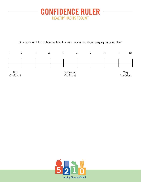# **CONFIDENCE RULER** HEALTHY HABITS TOOLKIT

On a scale of 1 to 10, how confident or sure do you feel about carrying out your plan?



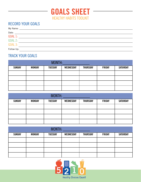

## RECORD YOUR GOALS

| Date:          |  |
|----------------|--|
| <b>GOAL 1:</b> |  |
| <b>GOAL 2:</b> |  |
| <b>GOAL 3:</b> |  |
| Follow Up:     |  |

## TRACK YOUR GOALS

| MONTH:        |               |                |                  |                 |               |                 |
|---------------|---------------|----------------|------------------|-----------------|---------------|-----------------|
| <b>SUNDAY</b> | <b>MONDAY</b> | <b>TUESDAY</b> | <b>WEDNESDAY</b> | <b>THURSDAY</b> | <b>FRIDAY</b> | <b>SATURDAY</b> |
|               |               |                |                  |                 |               |                 |
|               |               |                |                  |                 |               |                 |
|               |               |                |                  |                 |               |                 |
|               |               |                |                  |                 |               |                 |

| MONTH:<br>the control of the control of |               |                |           |                 |               |                 |
|-----------------------------------------|---------------|----------------|-----------|-----------------|---------------|-----------------|
| <b>SUNDAY</b>                           | <b>MONDAY</b> | <b>TUESDAY</b> | WEDNESDAY | <b>THURSDAY</b> | <b>FRIDAY</b> | <b>SATURDAY</b> |
|                                         |               |                |           |                 |               |                 |
|                                         |               |                |           |                 |               |                 |
|                                         |               |                |           |                 |               |                 |
|                                         |               |                |           |                 |               |                 |

| MONTH:        |               |                |           |                 |               |                 |
|---------------|---------------|----------------|-----------|-----------------|---------------|-----------------|
| <b>SUNDAY</b> | <b>MONDAY</b> | <b>TUESDAY</b> | WEDNESDAY | <b>THURSDAY</b> | <b>FRIDAY</b> | <b>SATURDAY</b> |
|               |               |                |           |                 |               |                 |
|               |               |                |           |                 |               |                 |
|               |               |                |           |                 |               |                 |
|               |               |                |           |                 |               |                 |

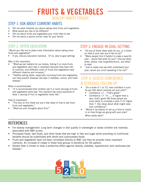# **FRUITS & VEGETABLES** HEALTHY HABITS TOOLKIT

#### STEP 1: ASK ABOUT CURRENT HABITS

- Tell me what interests you about eating more fruits and vegetables.
- What would you like to be different?
- Tell me about fruits and vegetables your child likes to eat.
- Tell me about a typical dinner meal for your family.

#### STEP 2: OFFER EDUCATION

"Would you like me to share more information about eating more fruits and vegetables?"

If yes, discuss education handout. (If no, skip to goal setting)

#### Why is this important:

- "What we eat matters for our bodies. Eating 5 or more fruits and vegetables each day is important because they have lots of nutrition, and different colors of fruits and vegetables have different vitamins and minerals."
- "Healthy eating styles, especially including fruits and vegetables, can help prevent diseases like type 2 diabetes, cancer, and heart disease."

What is recommended:

• "It is recommended that children eat 5 or more servings of fruits and vegetables every day. This handout has some examples of what 1 serving of fruit or vegetables looks like."

How to implement:

- "The tips on this sheet are just a few ideas of how to eat more fruits and vegetables."
- "What are your thoughts about this?"

#### STEP 3: ENGAGE IN GOAL-SETTING

- "Do any of these ideas work for you, or is there an idea of your own you'd like to try?"
- "Many people find it helpful to make a specific plan – would that work for you?" Discuss what, when, where, how long/often/much, and when to start.
- "Just to make sure we both understand your plan, would you mind repeating it for me?"

#### STEP 4: ASSESS CONFIDENCE & SCHEDULE FOLLOW-UP

- "On a scale of 1 to 10, how confident or sure do you feel about carrying out your plan?"
	- Confidence >7 : "That's great!"
	- Confidence  $<$ 7: "A  $\_\_$  is higher than a zero, that's good! We know people are more likely to complete a plan if it's higher than 7. Any ideas about what might raise your confidence?"
- "Would it be helpful to set up a time to check in on how things are going with your plan? When works best?"

- For obesity management: Long term changes in diet quality in overweight or obese children are inversely associated with BMI scores.
- Processed foods, fast foods, and other foods that are high in fats and sugar while providing no nutritional benefits should be substituted with whole and unprocessed foods.
- Fruits and vegetables have not been correlated directly to BMI, but they do provide many important nutrients. An increase of intake in these food groups is beneficial for the patient.
- Dietary fiber is shown to have a protective effect against obesity, diabetes, hypertension and cardiovascular disease.<sup>1</sup>

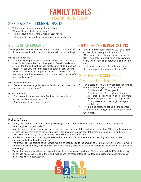# **FAMILY MEALS** HEALTHY HABITS TOOLKIT

#### STEP 1: ASK ABOUT CURRENT HABITS

- Tell me what interests you about family meals.
- What would you like to be different?
- Tell me about a typical family meal at your house.
- Tell me about how you decide what meals your family eats.

#### STEP 2: OFFER EDUCATION

"Would you like me to share more information about family meals?" If yes, discuss education handout. (If no, skip to goal setting)

- Why is this important:
- "Children who regularly eat with their families are more likely to eat fruits, vegetables, and whole grains. Overall, meals eaten at home tend to be healthier than meals eaten while dining out because of sodium, unhealthy fats, and portion sizes. Sharing meals as a family is also important because it allows a time for healthy communication. Overall, your child's health can benefit from family meals."

What is recommended:

• "Eat as many meals together as your family can, and when you can, choose to eat at home."

How to implement:

- "The tips on this sheet are just a few ideas of how to have positive family meal experiences."
- "What are your thoughts about this?"

#### STEP 3: ENGAGE IN GOAL-SETTING

- "Do any of these ideas work for you, or is there an idea of your own you'd like to try?"
- "Many people find it helpful to make a specific plan – would that work for you?" Discuss what, when, where, how long/often/much, and when to start.
- "Just to make sure we both understand your plan, would you mind repeating it for me?"

#### STEP 4: ASSESS CONFIDENCE & SCHEDULE FOLLOW-UP

- "On a scale of 1 to 10, how confident or sure do you feel about carrying out your plan?"
	- Confidence >7 : "That's great!"
	- Confidence  $<$ 7: "A is higher than a zero, that's good! We know people are more likely to complete a plan if it's higher than 7. Any ideas about what might raise your confidence?"
- "Would it be helpful to set up a time to check in on how things are going with your plan? When works best?"

- Family meals reduce odds for becoming overweight, eating unhealthy foods, and disordered eating, along with increasing healthy food intake.2
- Away-from-home dinner sources are linked with increased weight status and body composition. When families reported at least one away from home dinner purchase in the past week, mean body fat percent, metabolic risk, and insulin levels were significantly greater than those with less fast-food purchases.<sup>3</sup>
- Studies recommend that stressing the relative importance of family meal time and teaching how to plan ahead encourages the best health outcomes.4
- The amount of food parents serve themselves is significantly tied to the amount of food they serve their children. When children are served more, they eat more. Encourage healthy portions for the whole family to reduce the risk of the child overeating.5
- TV watching during mealtime can negate the positive influences of mealtime. Children who watched TV while eating dinner had decreased intake of fruits and veggies and increased intake of fast food and sugar-sweetened beverages than those who do not watch TV.6

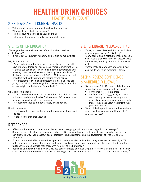# **HEALTHY DRINK CHOICES** HEALTHY HABITS TOOLKIT

#### STEP 1: ASK ABOUT CURRENT HABITS

- Tell me what interests you about healthy drink choices.
- What would you like to be different?
- Tell me about what your child usually drinks.
- Tell me about any water or milk that your child drinks.

#### STEP 2: OFFER EDUCATION

"Would you like me to share more information about healthy drink choices?"

If yes, discuss education handout. (If no, skip to goal setting)

#### Why is this important:

- "Water and milk are the best drink choices because they both have important things our bodies need. Water is important for lots . of things our bodies do, like keeping a normal temperature and breaking down the food we eat so the body can use it. Most of the body is made up of water – 60-75%! Milk has calcium that is important for healthy growth and making strong bones."
- "It is important to avoid sugar-sweetened drinks like soda pop, juice, sports drinks, and energy drinks because they can lead to excess weight and be harmful for our teeth."

#### What is recommended:

- "Water is recommended to be the main drink that children have with meals and during the day. Children need 2-3 cups of dairy per day, such as low-fat or fat-free milk."
- "It is recommended to aim for 0 sugary drinks per day."

#### How to implement:

- "The tips on this sheet can be helpful for making healthier drink choices."
- "What are your thoughts about this?"

#### STEP 3: ENGAGE IN GOAL-SETTING

- "Do any of these ideas work for you, or is there an idea of your own you'd like to try?"
- "Many people find it helpful to make a specific plan – would that work for you?" Discuss what, when, where, how long/often/much, and when to start.
- "Just to make sure we both understand your plan, would you mind repeating it for me?"

#### STEP 4: ASSESS CONFIDENCE & SCHEDULE FOLLOW-UP

- "On a scale of 1 to 10, how confident or sure do you feel about carrying out your plan?"
	- Confidence >7 : "That's great!"
	- Confidence  $<$ 7: "A  $\_\_$  is higher than a zero, that's good! We know people are more likely to complete a plan if it's higher than 7. Any ideas about what might raise your confidence?"
- "Would it be helpful to set up a time to check in on how things are going with your plan? When works best?"

- SSBs contribute more calories to the diet and excess weight gain than any other single food or beverage.<sup>7</sup>
- Studies consistently show an association between SSB consumption and metabolic disease, including hypertension, non-alcoholic fatty liver disease, visceral adiposity, insulin resistance and the development of Type 2 Diabetes Mellitus.<sup>7</sup>
- For each additional SSB consumed by a pediatric patient per day, odds of becoming obese are increased by 60%.<sup>7</sup>
- Individuals who are aware of recommended caloric needs and nutritional content of their beverages drank nine fewer SSBs per month on average than those who were not as well informed.<sup>8</sup>
- Reducing SSB consumption by only 25% has been estimated to reduce weight by 4.5lb/year in children. This change would decrease the prevalence of pediatric overweight and obesity from 32% to 27% and 17% to 14% respectively.<sup>9</sup>

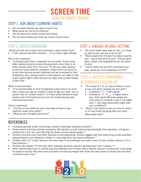# **SCREEN TIME** HEALTHY HABITS TOOLKIT

### STEP 1: ASK ABOUT CURRENT HABITS

- Tell me what interests you about screen time.
- What would you like to be different?
- Tell me about your child's screen time habits.
- Tell me about where your child has screen time at home.

#### STEP 2: OFFER EDUCATION

"Would you like me to share more information about screen time?"

If yes, discuss education handout. (If no, skip to goal setting)

Why is this important:

• "Limiting screen time is important for our health. Screen time often replaces physical activity because we're more likely to sit while having screen time. Too much TV can also lower reading scores and cause attention problems. Screen time can cause us to eat more because we get distracted and we're exposed to food advertising. Also, having screens in the bedroom can make it hard to get a good night's sleep because we might stay up later having screen time."

What is recommended:

• "It is recommended to limit recreational screen time to no more than 2 hours per day for children 2 years of age and older, and no screen time for children under 2. It is also recommended to keep screens out of the bedrooms and turn off screens during meal time and snack time."

How to implement:

- "The tips on this sheet are just a few ideas of how to have healthier screen time habits."
- "What are your thoughts about this?"

#### STEP 3: ENGAGE IN GOAL-SETTING

- "Do any of these ideas work for you, or is there an idea of your own you'd like to try?"
- "Many people find it helpful to make a specific plan – would that work for you?" Discuss what, when, where, how long/often/much, and when to start.
- "Just to make sure we both understand your plan, would you mind repeating it for me?"

### STEP 4: ASSESS CONFIDENCE & SCHEDULE FOLLOW-UP

- "On a scale of 1 to 10, how confident or sure do you feel about carrying out your plan?"
	- Confidence >7 : "That's great!"
	- Confidence  $<$ 7: "A  $\quad$  is higher than a zero, that's good! We know people are more likely to complete a plan if it's higher than 7. Any ideas about what might raise your confidence?"
- "Would it be helpful to set up a time to check in on how things are going with your plan? When works best?"

- Increased parental screen monitoring is shown to decrease sedentary behavior.<sup>10</sup>
- Screen-based activities promote overeating. Mechanisms include interrupting physiologic food regulation, acting as a conditioned cue to eat, and effecting the stress-induced reward system.<sup>11</sup>
- Children consume more food when exposed to food advertising. Studies suggest that food advertising primes automatic eating behaviors and influences children in more ways than just brand preference.<sup>12</sup>
- Children with a TV in their bedroom are more likely to be overweight and watch more TV than children without a TV in their bedroom.<sup>13</sup>
- Children who replace TV time with other sedentary activities may still decrease their risk of obesity.<sup>14,15</sup>
- When families kept track of outside play and rewarded their children with a specific amount of screentime in exchange for physical activity, they were more successful at reducing weight than those who kept track of outside play but allow unlimited screen time.<sup>14</sup>

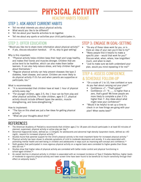# **PHYSICAL ACTIVITY** HEALTHY HABITS TOOLKIT

#### STEP 1: ASK ABOUT CURRENT HABITS

- Tell me what interests you about physical activity.
- What would you like to be different?
- Tell me about your favorite activities to do together.
- Tell me about any sports or activities your child participates in.

#### STEP 2: OFFER EDUCATION

"Would you like me to share more information about physical activity?"

If yes, discuss education handout. (If no, skip to goal setting)

Why is this important:

- "Physical activity helps children keep their heart and lungs healthy, and makes their bones and muscles stronger. Children that are active tend to be healthier, which can also make them better learners. It can also help reduce stress, and help children feel good about themselves."
- "Regular physical activity can help prevent diseases like type 2 diabetes, heart disease, and cancer. Children are more likely to do physical activity if it's fun and when parents are supportive or participate, too."

What is recommended:

- "It is recommended that children have at least 1 hour of physical activity every day."
- "For younger children, ages 2-5, the 1 hour can be from play and other physical activities. For older children, ages 6-17, physical activity should include different types like aerobic, musclestrengthening, and bone-strengthening."

How to implement:

- "The tips on this sheet are just a few ideas for getting physical activity."
- "What are your thoughts about this?"

#### STEP 3: ENGAGE IN GOAL-SETTING

- "Do any of these ideas work for you, or is there an idea of your own you'd like to try?"
- "Many people find it helpful to make a specific plan – would that work for you?" Discuss what, when, where, how long/often/ much, and when to start.
- "Just to make sure we both understand your plan, would you mind repeating it for me?"

#### STEP 4: ASSESS CONFIDENCE & SCHEDULE FOLLOW-UP

- "On a scale of 1 to 10, how confident or sure do you feel about carrying out your plan?"
	- Confidence >7 : "That's great!"
	- Confidence  $<$ 7: "A  $\_\_$  is higher than a zero, that's good! We know people are more likely to complete a plan if it's higher than 7. Any ideas about what might raise your confidence?"
- "Would it be helpful to set up a time to check in on how things are going with your plan? When works best?"

- The American Academy of Pediatrics recommends that children ages 2 to 18 years old should participate in at least 60 minutes of planned, supervised, physical activity or active play per day.16
- Abnormal triglyceride levels, defined as >110mg/dL for adolescents and abnormal high-density lipoprotein levels, defined as <40 mg/dL, respond to increased physical activity.16
- Studies found that parental support for the child's physical activity is the most important factor for increased physical activity.<sup>17</sup>
- Physical activity has been shown to alleviate symptoms of mild to moderate depression and anxiety. It is also associated with promoting mental health and well-being in children and adolescents in ways such as improving self-concept and confidence.18
- Sixth graders that participated in more vigorous physical activity on a regular basis were correlated to higher grades than those who did not.<sup>19</sup>
- Studies show that higher rates of physical activity are correlated with better motor control and physical functioning in school-aged children.<sup>20</sup>
- An overall decline in physical activity in childern is associated with an increased incidence of Type 2 Diabetes Mellitus; higher levels of moderate to vigourous phsyical activity and lower screen time have been found to be beneficial to insulin sensitivity through their effect on adiposity levels.<sup>21</sup>

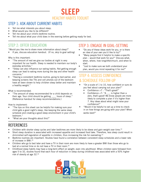## **SLEEP** HEALTHY HABITS TOOLKIT

#### STEP 1: ASK ABOUT CURRENT HABITS

- Tell me what interests you about sleep.
- What would you like to be different?
- Tell me about your child's bedtime routine.
- Tell me about what your child does in the evening before getting ready for bed.

#### STEP 2: OFFER EDUCATION

"Would you like me to share more information about sleep?"

If yes, discuss education handout. (If no, skip to goal setting)

Why is this important:

- "The amount of rest we give our bodies at night is very important for our health. Sleep is needed to maintain our body's everyday activities."
- "Sleep can also influence our eating habits. Not getting enough sleep can lead to eating more during the day and other health concerns."
- "Having a consistent bedtime routine, going to bed earlier, and keeping screens like TVs and cell phones out of the bedroom have all been shown to help children sleep better and maintain a healthy weight."

What is recommended:

• "The amount of sleep recommended for a child depends on their age. Your child should be getting hours of sleep." (Reference handout for sleep recommendations.)

How to implement:

- "The tips on this sheet can be helpful for making sure your child gets a good night's sleep, like keeping the same sleep schedule and creating a good sleep environment in your child's bedroom."
- "What are your thoughts about this?"

#### STEP 3: ENGAGE IN GOAL-SETTING

- "Do any of these ideas work for you, or is there an idea of your own you'd like to try?"
- "Many people find it helpful to make a specific plan – would that work for you?" Discuss what, when, where, how long/often/much, and when to start.
- "Just to make sure we both understand your plan, would you mind repeating it for me?"

#### STEP 4: ASSESS CONFIDENCE & SCHEDULE FOLLOW-UP

- "On a scale of 1 to 10, how confident or sure do you feel about carrying out your plan?"
	- Confidence >7 : "That's great!"
	- Confidence  $< 7:$  "A is higher than a zero, that's good! We know people are more likely to complete a plan if it's higher than 7. Any ideas about what might raise your confidence?"
- "Would it be helpful to set up a time to check in on how things are going with your plan? When works best?"

- Children with shorter sleep cycles and later bedtimes are more likely to be obese and gain weight over time.<sup>22</sup>
- Short sleep duration is associated with increased appetite and increased food take. Therefore, less sleep could result in diminished self-regulation of appetite in children, thus increasing the risk for overeating.<sup>23</sup>
- Bedtime routines are important. Studies have found a correlation between consistent sleep schedules and a lower rate of increase in BMI.25
- Children who go to bed later and have a TV in their room are more likely to have a greater BMI than those who go to bed at a normal time or do not have a TV in their room.<sup>24</sup>
- Childhood sleep habits may have a long-term effect on weight, even into adulthood. When children were followed from ages 5 to 32, studies found that each hour of reduction in sleep during childhood was associated with a 50% higher risk of obesity at age 32.26

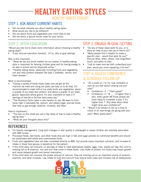## **HEALTHY EATING STYLES** HEALTHY HABITS TOOLKIT

#### STEP 1: ASK ABOUT CURRENT HABITS

- Tell me what interests you about healthy eating styles.
- What would you like to be different?
- Tell me about fruits and vegetables your child likes to eat.
- Tell me about a typical dinner meal for your family.

## STEP 2: OFFER EDUCATION

"Would you like me to share more information about choosing a healthy eating style?"

If yes, discuss education handout. (If no, skip to goal setting)

Why is this important:

- "What we eat and drink matters for our bodies. A healthy eating style is important for helping children grow and for having energy to do well in school and be physically active."
- "Healthy eating styles, especially including fruits and vegetables, can also help prevent diseases like type 2 diabetes, cancer, and heart disease."

What is recommended:

- "Eating a variety of foods helps make sure we get all the nutrition we need and using our plate can help us to do that. It's recommended to make half of our plate fruits and vegetables, about a quarter of our plate lean protein, and about a quarter of our plate grains, especially whole grains. It's also important to have 2-3 servings of low-fat or fat-free dairy every day."
- "The Nutrition Facts Label is also helpful to use. We want to limit foods high in saturated fat, sodium, and added sugar, and eat foods that help us get enough vitamins, minerals, and fiber."

How to implement:

- "The tips on this sheet are just a few ideas of how to have a healthy eating style."
- "What are your thoughts about this?"

#### STEP 3: ENGAGE IN GOAL-SETTING

- "Do any of these ideas work for you, or is there an idea of your own you'd like to try?"
- "Many people find it helpful to make a specific plan – would that work for you?" Discuss what, when, where, how long/often/ much, and when to start.
- "Just to make sure we both understand your plan, would you mind repeating it for me?"

### STEP 4: ASSESS CONFIDENCE & SCHEDULE FOLLOW-UP

- "On a scale of 1 to 10, how confident or sure do you feel about carrying out your plan?"
	- Confidence >7 : "That's great!"
	- Confidence  $\langle 7:$  "A \_\_\_ is higher than a zero, that's good! We know people are more likely to complete a plan if it's higher than 7. Any ideas about what might raise your confidence?"
- "Would it be helpful to set up a time to check in on how things are going with your plan? When works best?"

- For obesity management: Long term changes in diet quality in overweight or obese children are inversely associated with BMI scores.
- Processed foods, fast foods, and other foods that are high in fats and sugar provide no nutritional benefits and should be substituted with whole and unprocessed foods.
- Fruits and vegetables have not been correlated directly to BMI, but provide many important nutrients, and increase of intake in these food groups is beneficial for the patient.
- If the child does not consume <2 servings of meat or meat alternatives (beans, eggs, nuts, seeds) per day, the child is missing out on B vitamins, iron and zinc that come in these foods. Low intake of protein rich foods may impair growth, and cause delayed growth and sexual maturation.
- If the child does not consume the proper amount of calcium, they are missing out on an important source of proteins, vitamins, and other minerals. Low intake of milk and calcium may reduce bone mass and increase risk of osteoporosis.

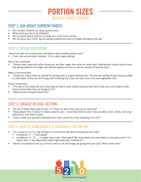# **PORTION SIZES** HEALTHY HABITS TOOLKIT

#### STEP 1: ASK ABOUT CURRENT HABITS

- Tell me what interests you about portion sizes.
- What would you like to be different?
- Tell me about typical portions of foods your child has for dinner.
- Tell me about your child's typical eating schedule and level of hunger throughout the day.

#### STEP 2: OFFER EDUCATION

"Would you like me to share more information about healthy portion sizes?"

If yes, discuss education handout. (If no, skip to goal setting)

Why is this important:

• "Portion sizes, especially when dining out, are often larger than what we really need. Starting with smaller portion sizes and paying attention to hunger and fullness signals can help us eat the amount of food we need."

What is recommended:

• "Using your child's hand as a guide for serving sizes is a good starting point. Provide one serving of each food at a meal on their plate. If they are still hungry after finishing that, they can have more fruits and vegetables only"

How to implement:

- "The tips on this sheet are just a few ideas of how to serve healthy portions and how to help your child listen to their body to know when they are hungry or full."
- "What are your thoughts about this?"

#### STEP 3: ENGAGE IN GOAL-SETTING

- "Do any of these ideas work for you, or is there an idea of your own you'd like to try?"
- "Many people find it helpful to make a specific plan would that work for you?" Discuss what, when, where, how long/ often/much, and when to start.
- "Just to make sure we both understand your plan, would you mind repeating it for me?"

#### STEP 4: ASSESS CONFIDENCE & SCHEDULE FOLLOW-UP

- "On a scale of 1 to 10, how confident or sure do you feel about carrying out your plan?"
	- Confidence >7 : "That's great!"
	- Confidence <7: "A \_\_\_ is higher than a zero, that's good! We know people are more likely to complete a plan if it's higher than 7. Any ideas about what might raise your confidence?"
- "Would it be helpful to set up a time to check in on how things are going with your plan? When works best?"

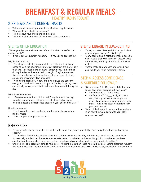## **BREAKFAST & REGULAR MEALS** HEALTHY HABITS TOOLKIT

#### STEP 1: ASK ABOUT CURRENT HABITS

- Tell me what interests you about breakfast and regular meals.
- What would you like to be different?
- Tell me about your child's typical breakfast.
- Tell me about your child's typical day of eating and meals

#### STEP 2: OFFER EDUCATION

"Would you like me to share more information about breakfast and regular meals?"

If yes, discuss education handout. (If no, skip to goal setting)

#### Why is this important:

- "A healthy breakfast gives your child the nutrition their body needs to start the day. Children who eat breakfast are more likely to do well in school, have an overall better mood, eat healthier during the day, and have a healthy weight. They're also more likely to have better problem-solving skills, be more physically active, and miss fewer days of school."
- "Also, eating breakfast, lunch, and dinner gives the body the energy and nutrition it needs throughout the day. Skipping meals can actually cause your child to eat more than needed during the day."

#### What is recommended:

• "It's recommended that children eat 3 regular meals per day, including eating a well-balanced breakfast every day. Try to include at least 2 different food groups in your child's breakfast."

How to implement:

- "The tips on this sheet can be helpful for eating breakfast and regular meals."
- "What are your thoughts about this?"

#### STEP 3: ENGAGE IN GOAL-SETTING

- "Do any of these ideas work for you, or is there an idea of your own you'd like to try?"
- "Many people find it helpful to make a specific plan – would that work for you?" Discuss what, when, where, how long/often/much, and when to start.
- "Just to make sure we both understand your plan, would you mind repeating it for me?"

#### STEP 4: ASSESS CONFIDENCE & SCHEDULE FOLLOW-UP

- "On a scale of 1 to 10, how confident or sure do you feel about carrying out your plan?"
	- Confidence >7 : "That's great!"
	- Confidence  $<$ 7: "A  $_{\text{max}}$  is higher than a zero, that's good! We know people are more likely to complete a plan if it's higher than 7. Any ideas about what might raise your confidence?"
- "Would it be helpful to set up a time to check in on how things are going with your plan? When works best?"

- Eating breakfast before school is associated with lower BMI, lower probability of overweight and lower probability of obesity.27
- The American Dietetic Association states that children who eat a healthy, well-balanced breakfast are more likely to meet daily nutrient requirements, concentrate better, have better problem-solving skills, have better hand-eye coordination, be more alert, be more creative, miss fewer days of school and be more physically active.<sup>28</sup>
- Children who skip breakfast tend to have poorer nutrient intake than those who eat breakfast. Eating breakfast regularly has been linked with greater intake of fiber, calcium, iron, vitamin C and lower intake of fat, cholesterol, and sodium.<sup>29</sup>